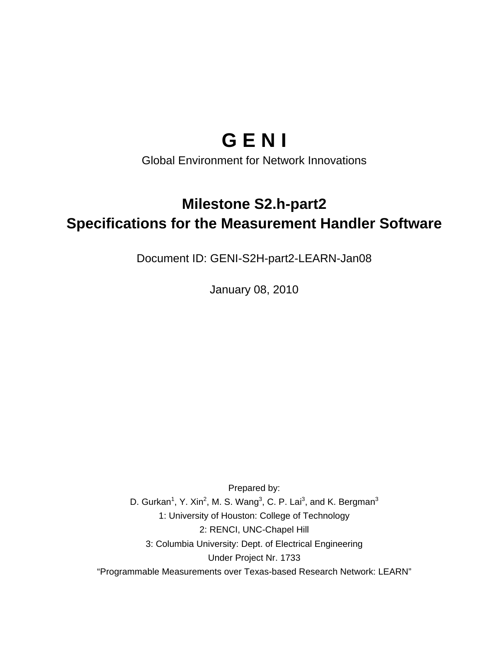# **G E N I**

Global Environment for Network Innovations

# **Milestone S2.h-part2 Specifications for the Measurement Handler Software**

Document ID: GENI-S2H-part2-LEARN-Jan08

January 08, 2010

Prepared by: D. Gurkan<sup>1</sup>, Y. Xin<sup>2</sup>, M. S. Wang<sup>3</sup>, C. P. Lai<sup>3</sup>, and K. Bergman<sup>3</sup> 1: University of Houston: College of Technology 2: RENCI, UNC-Chapel Hill 3: Columbia University: Dept. of Electrical Engineering Under Project Nr. 1733 "Programmable Measurements over Texas-based Research Network: LEARN"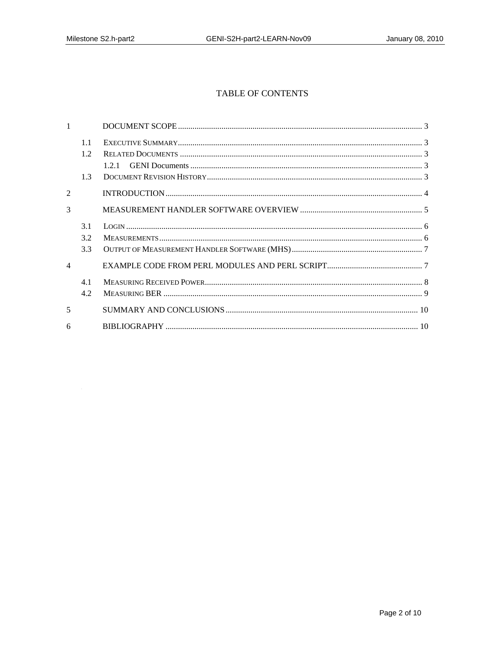# TABLE OF CONTENTS

|                | 1.1  |  |
|----------------|------|--|
|                | 1.2  |  |
|                |      |  |
|                | 1.3  |  |
| $\mathfrak{D}$ |      |  |
| $\mathcal{R}$  |      |  |
|                | 3.1  |  |
|                | 3.2  |  |
|                | 3.3  |  |
| $\varDelta$    |      |  |
|                | 4.1  |  |
|                | 4.2. |  |
| $\overline{5}$ |      |  |
| 6              |      |  |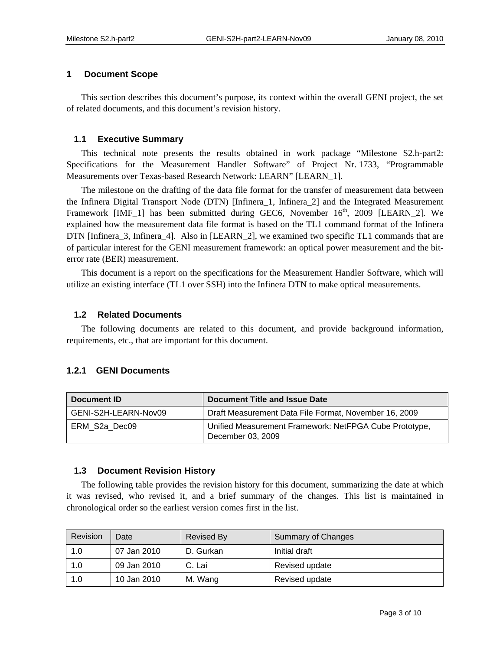#### **1 Document Scope**

This section describes this document's purpose, its context within the overall GENI project, the set of related documents, and this document's revision history.

#### **1.1 Executive Summary**

This technical note presents the results obtained in work package "Milestone S2.h-part2: Specifications for the Measurement Handler Software" of Project Nr. 1733, "Programmable Measurements over Texas-based Research Network: LEARN" [LEARN\_1].

The milestone on the drafting of the data file format for the transfer of measurement data between the Infinera Digital Transport Node (DTN) [Infinera\_1, Infinera\_2] and the Integrated Measurement Framework [IMF 1] has been submitted during GEC6, November  $16<sup>th</sup>$ , 2009 [LEARN 2]. We explained how the measurement data file format is based on the TL1 command format of the Infinera DTN [Infinera\_3, Infinera\_4]. Also in [LEARN\_2], we examined two specific TL1 commands that are of particular interest for the GENI measurement framework: an optical power measurement and the biterror rate (BER) measurement.

This document is a report on the specifications for the Measurement Handler Software, which will utilize an existing interface (TL1 over SSH) into the Infinera DTN to make optical measurements.

#### **1.2 Related Documents**

The following documents are related to this document, and provide background information, requirements, etc., that are important for this document.

# **1.2.1 GENI Documents**

| Document ID          | Document Title and Issue Date                                               |  |
|----------------------|-----------------------------------------------------------------------------|--|
| GENI-S2H-LEARN-Nov09 | Draft Measurement Data File Format, November 16, 2009                       |  |
| ERM S2a Dec09        | Unified Measurement Framework: NetFPGA Cube Prototype,<br>December 03, 2009 |  |

#### **1.3 Document Revision History**

The following table provides the revision history for this document, summarizing the date at which it was revised, who revised it, and a brief summary of the changes. This list is maintained in chronological order so the earliest version comes first in the list.

| Revision | Date        | <b>Revised By</b> | <b>Summary of Changes</b> |
|----------|-------------|-------------------|---------------------------|
| 1.0      | 07 Jan 2010 | D. Gurkan         | Initial draft             |
| 1.0      | 09 Jan 2010 | C. Lai            | Revised update            |
| 1.0      | 10 Jan 2010 | M. Wang           | Revised update            |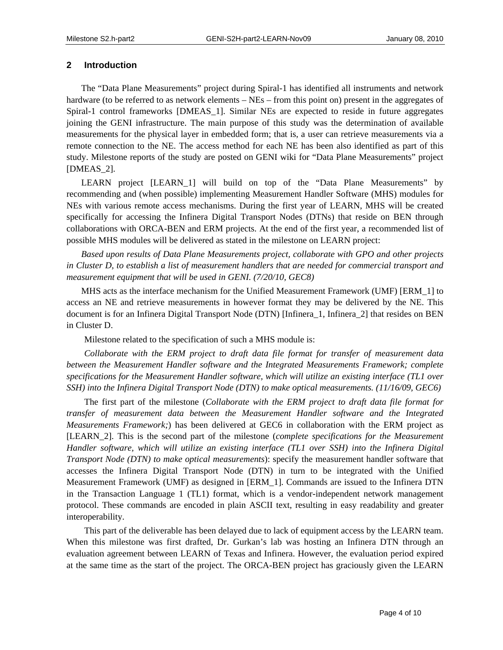#### **2 Introduction**

The "Data Plane Measurements" project during Spiral-1 has identified all instruments and network hardware (to be referred to as network elements – NEs – from this point on) present in the aggregates of Spiral-1 control frameworks [DMEAS\_1]. Similar NEs are expected to reside in future aggregates joining the GENI infrastructure. The main purpose of this study was the determination of available measurements for the physical layer in embedded form; that is, a user can retrieve measurements via a remote connection to the NE. The access method for each NE has been also identified as part of this study. Milestone reports of the study are posted on GENI wiki for "Data Plane Measurements" project [DMEAS\_2].

LEARN project [LEARN\_1] will build on top of the "Data Plane Measurements" by recommending and (when possible) implementing Measurement Handler Software (MHS) modules for NEs with various remote access mechanisms. During the first year of LEARN, MHS will be created specifically for accessing the Infinera Digital Transport Nodes (DTNs) that reside on BEN through collaborations with ORCA-BEN and ERM projects. At the end of the first year, a recommended list of possible MHS modules will be delivered as stated in the milestone on LEARN project:

*Based upon results of Data Plane Measurements project, collaborate with GPO and other projects in Cluster D, to establish a list of measurement handlers that are needed for commercial transport and measurement equipment that will be used in GENI. (7/20/10, GEC8)* 

MHS acts as the interface mechanism for the Unified Measurement Framework (UMF) [ERM\_1] to access an NE and retrieve measurements in however format they may be delivered by the NE. This document is for an Infinera Digital Transport Node (DTN) [Infinera\_1, Infinera\_2] that resides on BEN in Cluster D.

Milestone related to the specification of such a MHS module is:

*Collaborate with the ERM project to draft data file format for transfer of measurement data between the Measurement Handler software and the Integrated Measurements Framework; complete specifications for the Measurement Handler software, which will utilize an existing interface (TL1 over SSH) into the Infinera Digital Transport Node (DTN) to make optical measurements. (11/16/09, GEC6)* 

The first part of the milestone (*Collaborate with the ERM project to draft data file format for transfer of measurement data between the Measurement Handler software and the Integrated Measurements Framework;*) has been delivered at GEC6 in collaboration with the ERM project as [LEARN\_2]. This is the second part of the milestone (*complete specifications for the Measurement Handler software, which will utilize an existing interface (TL1 over SSH) into the Infinera Digital Transport Node (DTN) to make optical measurements*): specify the measurement handler software that accesses the Infinera Digital Transport Node (DTN) in turn to be integrated with the Unified Measurement Framework (UMF) as designed in [ERM\_1]. Commands are issued to the Infinera DTN in the Transaction Language 1 (TL1) format, which is a vendor-independent network management protocol. These commands are encoded in plain ASCII text, resulting in easy readability and greater interoperability.

This part of the deliverable has been delayed due to lack of equipment access by the LEARN team. When this milestone was first drafted, Dr. Gurkan's lab was hosting an Infinera DTN through an evaluation agreement between LEARN of Texas and Infinera. However, the evaluation period expired at the same time as the start of the project. The ORCA-BEN project has graciously given the LEARN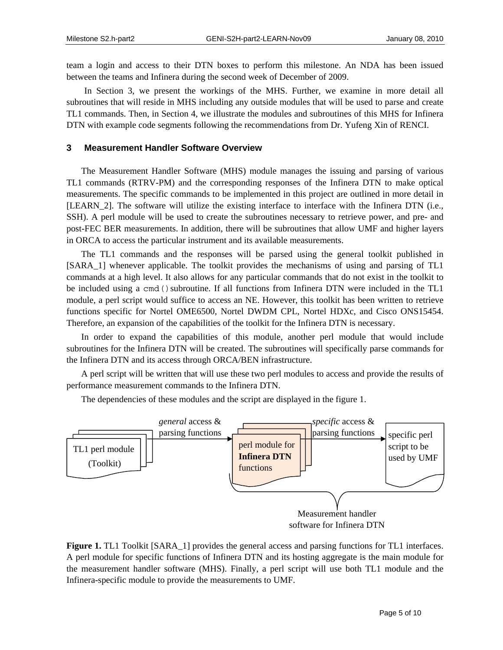team a login and access to their DTN boxes to perform this milestone. An NDA has been issued between the teams and Infinera during the second week of December of 2009.

In Section 3, we present the workings of the MHS. Further, we examine in more detail all subroutines that will reside in MHS including any outside modules that will be used to parse and create TL1 commands. Then, in Section 4, we illustrate the modules and subroutines of this MHS for Infinera DTN with example code segments following the recommendations from Dr. Yufeng Xin of RENCI.

#### **3 Measurement Handler Software Overview**

The Measurement Handler Software (MHS) module manages the issuing and parsing of various TL1 commands (RTRV-PM) and the corresponding responses of the Infinera DTN to make optical measurements. The specific commands to be implemented in this project are outlined in more detail in [LEARN\_2]. The software will utilize the existing interface to interface with the Infinera DTN (i.e., SSH). A perl module will be used to create the subroutines necessary to retrieve power, and pre- and post-FEC BER measurements. In addition, there will be subroutines that allow UMF and higher layers in ORCA to access the particular instrument and its available measurements.

The TL1 commands and the responses will be parsed using the general toolkit published in [SARA\_1] whenever applicable. The toolkit provides the mechanisms of using and parsing of TL1 commands at a high level. It also allows for any particular commands that do not exist in the toolkit to be included using a cmd () subroutine. If all functions from Infinera DTN were included in the TL1 module, a perl script would suffice to access an NE. However, this toolkit has been written to retrieve functions specific for Nortel OME6500, Nortel DWDM CPL, Nortel HDXc, and Cisco ONS15454. Therefore, an expansion of the capabilities of the toolkit for the Infinera DTN is necessary.

In order to expand the capabilities of this module, another perl module that would include subroutines for the Infinera DTN will be created. The subroutines will specifically parse commands for the Infinera DTN and its access through ORCA/BEN infrastructure.

A perl script will be written that will use these two perl modules to access and provide the results of performance measurement commands to the Infinera DTN.

The dependencies of these modules and the script are displayed in the figure 1.



**Figure 1.** TL1 Toolkit [SARA\_1] provides the general access and parsing functions for TL1 interfaces. A perl module for specific functions of Infinera DTN and its hosting aggregate is the main module for the measurement handler software (MHS). Finally, a perl script will use both TL1 module and the Infinera-specific module to provide the measurements to UMF.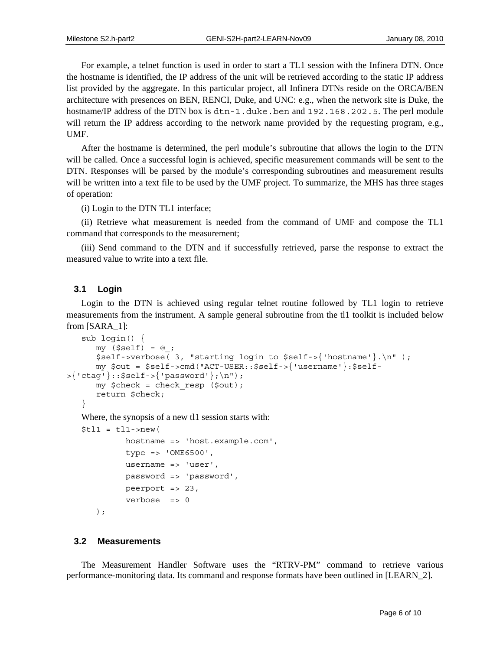For example, a telnet function is used in order to start a TL1 session with the Infinera DTN. Once the hostname is identified, the IP address of the unit will be retrieved according to the static IP address list provided by the aggregate. In this particular project, all Infinera DTNs reside on the ORCA/BEN architecture with presences on BEN, RENCI, Duke, and UNC: e.g., when the network site is Duke, the hostname/IP address of the DTN box is dtn-1.duke.ben and 192.168.202.5. The perl module will return the IP address according to the network name provided by the requesting program, e.g., UMF.

After the hostname is determined, the perl module's subroutine that allows the login to the DTN will be called. Once a successful login is achieved, specific measurement commands will be sent to the DTN. Responses will be parsed by the module's corresponding subroutines and measurement results will be written into a text file to be used by the UMF project. To summarize, the MHS has three stages of operation:

(i) Login to the DTN TL1 interface;

(ii) Retrieve what measurement is needed from the command of UMF and compose the TL1 command that corresponds to the measurement;

(iii) Send command to the DTN and if successfully retrieved, parse the response to extract the measured value to write into a text file.

#### **3.1 Login**

Login to the DTN is achieved using regular telnet routine followed by TL1 login to retrieve measurements from the instrument. A sample general subroutine from the tl1 toolkit is included below from [SARA\_1]:

```
sub login() { 
      my ($self) = @;
      $self-vertex 3, "starting login to $self-{}'hostname'}.\n" );
       my $out = $self->cmd("ACT-USER::$self->{'username'}:$self-
>{'ctag'}::$self->{'password'};\n"); 
       my $check = check_resp ($out); 
       return $check; 
   }
```
Where, the synopsis of a new tl1 session starts with:

```
$t11 = t11->new(
           hostname => 'host.example.com', 
           type => 'OME6500', 
           username => 'user', 
           password => 'password', 
           peerport => 23, 
           verbose => 0 
    );
```
#### **3.2 Measurements**

The Measurement Handler Software uses the "RTRV-PM" command to retrieve various performance-monitoring data. Its command and response formats have been outlined in [LEARN\_2].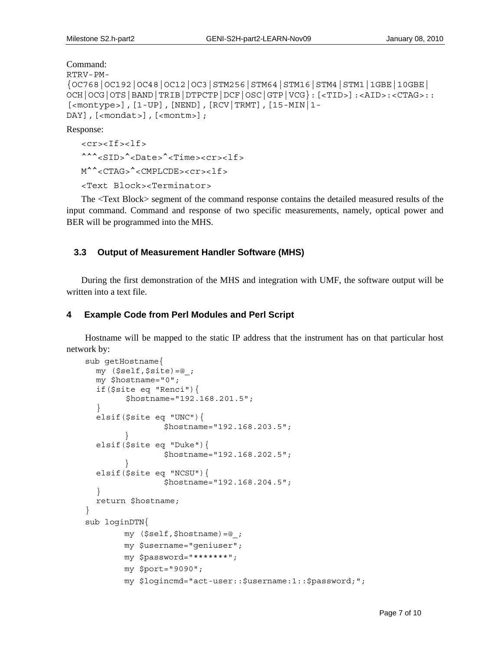Command:

```
RTRV-PM-
{OC768|OC192|OC48|OC12|OC3|STM256|STM64|STM16|STM4|STM1|1GBE|10GBE| 
OCH|OCG|OTS|BAND|TRIB|DTPCTP|DCF|OSC|GTP|VCG}:[<TID>]:<AID>:<CTAG>:: 
[<montype>],[1-UP],[NEND],[RCV|TRMT],[15-MIN|1-
DAY],[<mondat>],[<montm>];
```
Response:

<cr><If><lf> ^^^<SID>^<Date>^<Time><cr><lf> M^^<CTAG>^<CMPLCDE><cr><lf>

<Text Block><Terminator>

The <Text Block> segment of the command response contains the detailed measured results of the input command. Command and response of two specific measurements, namely, optical power and BER will be programmed into the MHS.

#### **3.3 Output of Measurement Handler Software (MHS)**

During the first demonstration of the MHS and integration with UMF, the software output will be written into a text file.

#### **4 Example Code from Perl Modules and Perl Script**

Hostname will be mapped to the static IP address that the instrument has on that particular host network by:

```
sub getHostname{ 
   my ($self,$site)=@_; 
   my $hostname="0"; 
   if($site eq "Renci"){ 
         $hostname="192.168.201.5"; 
   } 
   elsif($site eq "UNC"){ 
                  $hostname="192.168.203.5"; 
 } 
   elsif($site eq "Duke"){ 
                  $hostname="192.168.202.5"; 
 } 
   elsif($site eq "NCSU"){ 
                  $hostname="192.168.204.5"; 
   } 
   return $hostname; 
} 
sub loginDTN{ 
         my ($self,$hostname)=@_; 
         my $username="geniuser"; 
         my $password="*******"; 
         my $port="9090"; 
         my $logincmd="act-user::$username:1::$password;";
```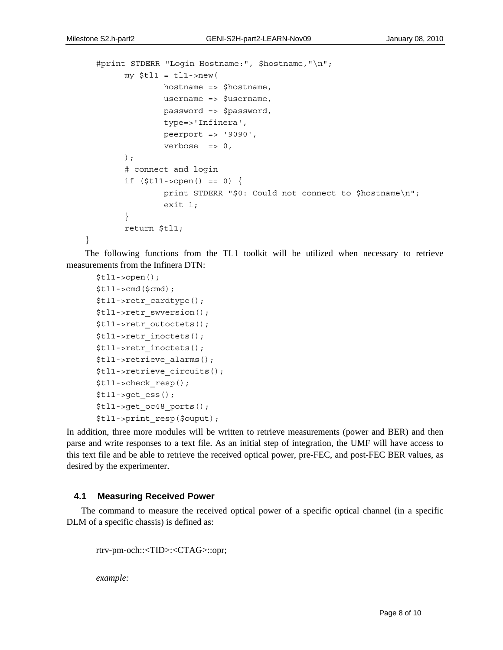}

```
 #print STDERR "Login Hostname:", $hostname,"\n"; 
      my $tl1 = tl1->new( hostname => $hostname, 
                username => $username, 
                password => $password, 
                type=>'Infinera', 
                peerport => '9090', 
               verbose \Rightarrow 0,
       ); 
       # connect and login 
      if (\text{$tl1->open() == 0) } print STDERR "$0: Could not connect to $hostname\n"; 
                exit 1; 
       } 
       return $tl1;
```
The following functions from the TL1 toolkit will be utilized when necessary to retrieve measurements from the Infinera DTN:

```
$t11->open(); $tl1->cmd($cmd); 
 $tl1->retr_cardtype(); 
 $tl1->retr_swversion(); 
 $tl1->retr_outoctets(); 
 $tl1->retr_inoctets(); 
 $tl1->retr_inoctets(); 
 $tl1->retrieve_alarms(); 
 $tl1->retrieve_circuits(); 
 $tl1->check_resp(); 
$t11->qet ess();
 $tl1->get_oc48_ports(); 
 $tl1->print_resp($ouput);
```
In addition, three more modules will be written to retrieve measurements (power and BER) and then parse and write responses to a text file. As an initial step of integration, the UMF will have access to this text file and be able to retrieve the received optical power, pre-FEC, and post-FEC BER values, as desired by the experimenter.

#### **4.1 Measuring Received Power**

The command to measure the received optical power of a specific optical channel (in a specific DLM of a specific chassis) is defined as:

```
rtrv-pm-och::<TID>:<CTAG>::opr;
```
*example:*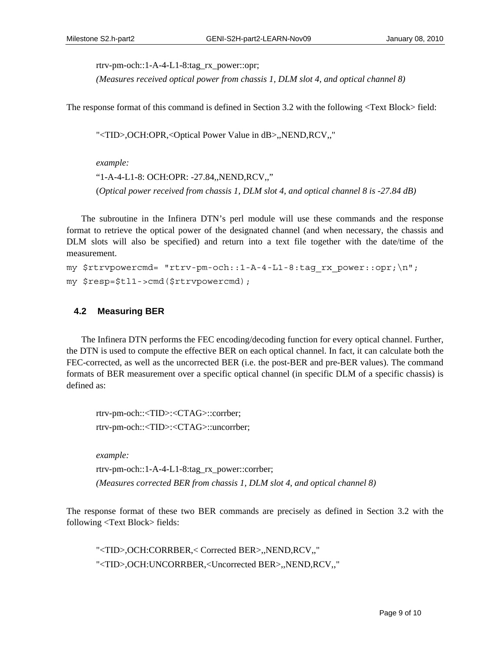rtrv-pm-och::1-A-4-L1-8:tag\_rx\_power::opr;

*(Measures received optical power from chassis 1, DLM slot 4, and optical channel 8)*

The response format of this command is defined in Section 3.2 with the following <Text Block> field:

"<TID>,OCH:OPR,<Optical Power Value in dB>,,NEND,RCV,,"

*example:*  "1-A-4-L1-8: OCH:OPR: -27.84,,NEND,RCV,," (*Optical power received from chassis 1, DLM slot 4, and optical channel 8 is -27.84 dB)*

The subroutine in the Infinera DTN's perl module will use these commands and the response format to retrieve the optical power of the designated channel (and when necessary, the chassis and DLM slots will also be specified) and return into a text file together with the date/time of the measurement.

```
my $rtrvpowercmd= "rtrv-pm-och::1-A-4-L1-8:tag_rx_power::opr;\n";
my $resp=$tl1->cmd($rtrvpowercmd);
```
#### **4.2 Measuring BER**

The Infinera DTN performs the FEC encoding/decoding function for every optical channel. Further, the DTN is used to compute the effective BER on each optical channel. In fact, it can calculate both the FEC-corrected, as well as the uncorrected BER (i.e. the post-BER and pre-BER values). The command formats of BER measurement over a specific optical channel (in specific DLM of a specific chassis) is defined as:

rtrv-pm-och::<TID>:<CTAG>::corrber; rtrv-pm-och::<TID>:<CTAG>::uncorrber;

*example:* 

rtrv-pm-och::1-A-4-L1-8:tag\_rx\_power::corrber; *(Measures corrected BER from chassis 1, DLM slot 4, and optical channel 8)*

The response format of these two BER commands are precisely as defined in Section 3.2 with the following <Text Block> fields:

"<TID>,OCH:CORRBER,< Corrected BER>,,NEND,RCV,," "<TID>,OCH:UNCORRBER,<Uncorrected BER>,,NEND,RCV,,"